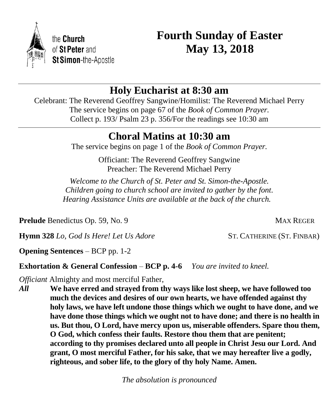

# **Fourth Sunday of Easter May 13, 2018**

# **Holy Eucharist at 8:30 am**

Celebrant: The Reverend Geoffrey Sangwine/Homilist: The Reverend Michael Perry The service begins on page 67 of the *Book of Common Prayer.* Collect p. 193/ Psalm 23 p. 356/For the readings see 10:30 am

## **Choral Matins at 10:30 am**

The service begins on page 1 of the *Book of Common Prayer.*

Officiant: The Reverend Geoffrey Sangwine Preacher: The Reverend Michael Perry

*Welcome to the Church of St. Peter and St. Simon-the-Apostle. Children going to church school are invited to gather by the font. Hearing Assistance Units are available at the back of the church.*

**Prelude** Benedictus Op. 59, No. 9<sup>*MAX REGER*</sup>

**Hymn 328** *Lo, God Is Here! Let Us Adore* ST. CATHERINE (ST. FINBAR)

**Opening Sentences** – BCP pp. 1-2

**Exhortation & General Confession** – **BCP p. 4-6** *You are invited to kneel.*

*Officiant* Almighty and most merciful Father,

*All* **We have erred and strayed from thy ways like lost sheep, we have followed too much the devices and desires of our own hearts, we have offended against thy holy laws, we have left undone those things which we ought to have done, and we have done those things which we ought not to have done; and there is no health in us. But thou, O Lord, have mercy upon us, miserable offenders. Spare thou them, O God, which confess their faults. Restore thou them that are penitent; according to thy promises declared unto all people in Christ Jesu our Lord. And grant, O most merciful Father, for his sake, that we may hereafter live a godly, righteous, and sober life, to the glory of thy holy Name. Amen.**

*The absolution is pronounced*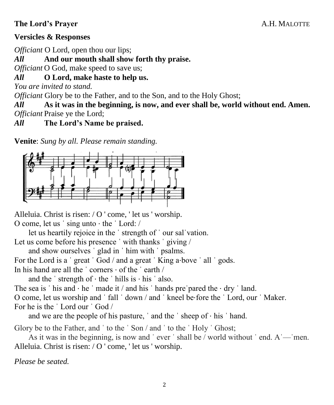#### **The Lord's Prayer A.H. MALOTTE**

#### **Versicles & Responses**

*Officiant* O Lord, open thou our lips;

*All* **And our mouth shall show forth thy praise.**

*Officiant* O God, make speed to save us;

### *All* **O Lord, make haste to help us.**

*You are invited to stand.*

*Officiant* Glory be to the Father, and to the Son, and to the Holy Ghost;

*All* **As it was in the beginning, is now, and ever shall be, world without end. Amen.** *Officiant* Praise ye the Lord;

*All* **The Lord's Name be praised.**

**Venite**: *Sung by all. Please remain standing.*



Alleluia. Christ is risen: / O ' come, ' let us ' worship.

O come, let us ˈ sing unto ⋅ the ˈ Lord: /

let us heartily rejoice in the ˈ strength of ˈ our salˈvation.

Let us come before his presence ' with thanks ' giving /

and show ourselves ˈ glad in ˈ him with ˈ psalms.

For the Lord is a ˈ great ˈ God / and a great ˈ King a⋅bove ˈ all ˈ gods.

In his hand are all the  $\cdot$  corners  $\cdot$  of the  $\cdot$  earth  $\prime$ 

and the  $\cdot$  strength of  $\cdot$  the  $\cdot$  hills is  $\cdot$  his  $\cdot$  also.

The sea is  $'$  his and  $\cdot$  he  $'$  made it  $/$  and his  $'$  hands pre $'$ pared the  $\cdot$  dry  $'$  land.

O come, let us worship and ˈ fall ˈ down / and ˈ kneel be⋅fore the ˈ Lord, our ˈ Maker. For he is the ˈ Lord our ˈ God /

and we are the people of his pasture,  $\dot{\ }$  and the  $\dot{\ }$  sheep of  $\dot{\ }$  his  $\dot{\ }$  hand.

Glory be to the Father, and ' to the ' Son / and ' to the ' Holy ' Ghost;

As it was in the beginning, is now and 'ever' shall be / world without ' end. A'—'men. Alleluia. Christ is risen: / O ' come, ' let us ' worship.

*Please be seated.*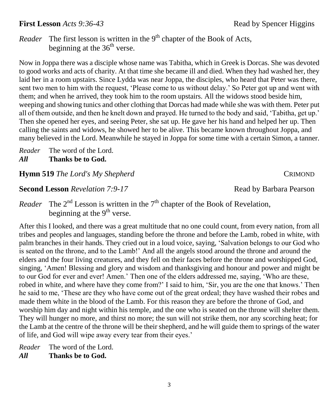#### **First Lesson** *Acts 9:36-43* Read by Spencer Higgins

*Reader* The first lesson is written in the  $9<sup>th</sup>$  chapter of the Book of Acts, beginning at the  $36<sup>th</sup>$  verse.

Now in Joppa there was a disciple whose name was Tabitha, which in Greek is Dorcas. She was devoted to good works and acts of charity. At that time she became ill and died. When they had washed her, they laid her in a room upstairs. Since Lydda was near Joppa, the disciples, who heard that Peter was there, sent two men to him with the request, 'Please come to us without delay.' So Peter got up and went with them; and when he arrived, they took him to the room upstairs. All the widows stood beside him, weeping and showing tunics and other clothing that Dorcas had made while she was with them. Peter put all of them outside, and then he knelt down and prayed. He turned to the body and said, 'Tabitha, get up.' Then she opened her eyes, and seeing Peter, she sat up. He gave her his hand and helped her up. Then calling the saints and widows, he showed her to be alive. This became known throughout Joppa, and many believed in the Lord. Meanwhile he stayed in Joppa for some time with a certain Simon, a tanner.

*Reader* The word of the Lord. *All* **Thanks be to God.**

#### **Hymn 519** *The Lord's My Shepherd* CRIMOND

**Second Lesson** *Revelation 7:9-17* Read by Barbara Pearson

*Reader* The  $2<sup>nd</sup>$  Lesson is written in the  $7<sup>th</sup>$  chapter of the Book of Revelation, beginning at the  $9<sup>th</sup>$  verse.

After this I looked, and there was a great multitude that no one could count, from every nation, from all tribes and peoples and languages, standing before the throne and before the Lamb, robed in white, with palm branches in their hands. They cried out in a loud voice, saying, 'Salvation belongs to our God who is seated on the throne, and to the Lamb!' And all the angels stood around the throne and around the elders and the four living creatures, and they fell on their faces before the throne and worshipped God, singing, 'Amen! Blessing and glory and wisdom and thanksgiving and honour and power and might be to our God for ever and ever! Amen.' Then one of the elders addressed me, saying, 'Who are these, robed in white, and where have they come from?' I said to him, 'Sir, you are the one that knows.' Then he said to me, 'These are they who have come out of the great ordeal; they have washed their robes and made them white in the blood of the Lamb. For this reason they are before the throne of God, and worship him day and night within his temple, and the one who is seated on the throne will shelter them. They will hunger no more, and thirst no more; the sun will not strike them, nor any scorching heat; for the Lamb at the centre of the throne will be their shepherd, and he will guide them to springs of the water of life, and God will wipe away every tear from their eyes.'

*Reader* The word of the Lord. *All* **Thanks be to God.**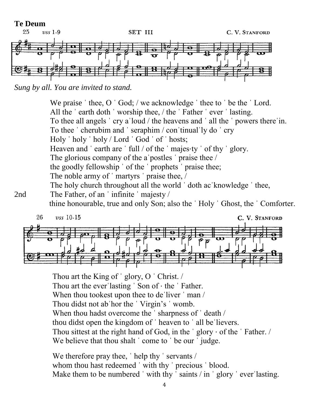## **Te Deum**  25  $\upsilon$ ss 1-9 SET III C. V. STANFORD

*Sung by all. You are invited to stand.*

We praise 'thee, O 'God; / we acknowledge 'thee to 'be the 'Lord. All the 'earth doth 'worship thee, / the 'Father 'ever 'lasting. To thee all angels ˈ cry aˈloud / the heavens and ˈ all the ˈ powers thereˈin. To thee ˈ cherubim and ˈ seraphim / conˈtinualˈly do ˈ cry Holy ˈ holy ˈ holy / Lord ˈ God ˈ of ˈ hosts; Heaven and 'earth are ' full / of the ' majes⋅ty ' of thy ' glory. The glorious company of the a postles ' praise thee / the goodly fellowship ˈ of the ˈ prophets ˈ praise thee; The noble army of 'martyrs' praise thee, / The holy church throughout all the world 'doth ac knowledge ' thee, 2nd The Father, of an 'infinite 'majesty / thine honourable, true and only Son; also the ˈ Holy ˈ Ghost, the ˈ Comforter.  $\upsilon$ ss 10-15 C. V. STANFORD



Thou art the King of 'glory, O 'Christ. / Thou art the ever 'lasting  $\dot{\mathbf{S}}$  Son of  $\cdot$  the  $\dot{\mathbf{F}}$  Father. When thou tookest upon thee to de liver  $\cdot$  man / Thou didst not abˈhor the ˈ Virgin's ˈ womb. When thou hadst overcome the 'sharpness of 'death / thou didst open the kingdom of ˈ heaven to ˈ all beˈlievers. Thou sittest at the right hand of God, in the  $\degree$  glory  $\cdot$  of the  $\degree$  Father. / We believe that thou shalt ' come to ' be our ' judge.

We therefore pray thee, 'help thy ' servants / whom thou hast redeemed 'with thy ' precious ' blood. Make them to be numbered  $\dot{\ }$  with thy  $\dot{\ }$  saints  $\dot{\ }$  in  $\dot{\ }$  glory  $\dot{\ }$  ever lasting.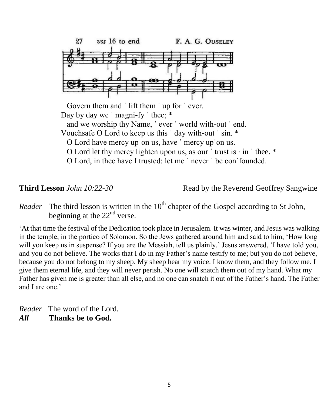

Govern them and ˈ lift them ˈ up for ˈ ever. Day by day we ' magni-fy ' thee:  $*$ and we worship thy Name, ˈ ever ˈ world with-out ˈ end. Vouchsafe O Lord to keep us this ˈ day with-out ˈ sin. \* O Lord have mercy upˈon us, have ˈ mercy upˈon us. O Lord let thy mercy lighten upon us, as our  $'$  trust is  $\cdot$  in  $'$  thee. \* O Lord, in thee have I trusted: let me ˈ never ˈ be conˈfounded.

**Third Lesson** *John 10:22-30* Read by the Reverend Geoffrey Sangwine

*Reader* The third lesson is written in the 10<sup>th</sup> chapter of the Gospel according to St John, beginning at the  $22<sup>nd</sup>$  verse.

'At that time the festival of the Dedication took place in Jerusalem. It was winter, and Jesus was walking in the temple, in the portico of Solomon. So the Jews gathered around him and said to him, 'How long will you keep us in suspense? If you are the Messiah, tell us plainly.' Jesus answered, 'I have told you, and you do not believe. The works that I do in my Father's name testify to me; but you do not believe, because you do not belong to my sheep. My sheep hear my voice. I know them, and they follow me. I give them eternal life, and they will never perish. No one will snatch them out of my hand. What my Father has given me is greater than all else, and no one can snatch it out of the Father's hand. The Father and I are one.'

*Reader* The word of the Lord. *All* **Thanks be to God.**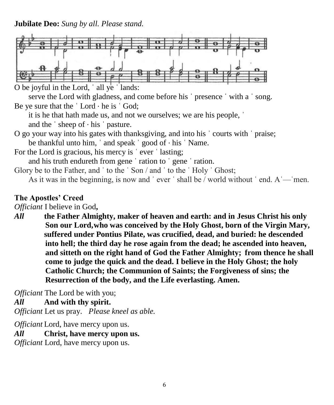**Jubilate Deo:** *Sung by all. Please stand.*



O be joyful in the Lord, ˈ all ye ˈ lands:

serve the Lord with gladness, and come before his ' presence ' with a ' song. Be ye sure that the  $\dot{\mathsf{L}}$  Lord  $\cdot$  he is  $\dot{\mathsf{C}}$  God;

it is he that hath made us, and not we ourselves; we are his people, ˈ and the  $\dot{\ }$  sheep of  $\cdot$  his  $\dot{\ }$  pasture.

O go your way into his gates with thanksgiving, and into his ˈ courts with ˈ praise; be thankful unto him, ˈ and speak ˈ good of ⋅ his ˈ Name.

For the Lord is gracious, his mercy is 'ever ' lasting;

and his truth endureth from gene 'ration to 'gene 'ration.

Glory be to the Father, and ' to the ' Son / and ' to the ' Holy ' Ghost;

As it was in the beginning, is now and 'ever' shall be / world without 'end.  $A'$ —'men.

#### **The Apostles' Creed**

*Officiant* I believe in God**,**

*All* **the Father Almighty, maker of heaven and earth: and in Jesus Christ his only Son our Lord,who was conceived by the Holy Ghost, born of the Virgin Mary, suffered under Pontius Pilate, was crucified, dead, and buried: he descended into hell; the third day he rose again from the dead; he ascended into heaven, and sitteth on the right hand of God the Father Almighty; from thence he shall come to judge the quick and the dead. I believe in the Holy Ghost; the holy Catholic Church; the Communion of Saints; the Forgiveness of sins; the Resurrection of the body, and the Life everlasting. Amen.**

*Officiant* The Lord be with you;

*All* **And with thy spirit.**

*Officiant* Let us pray. *Please kneel as able.*

*Officiant* Lord, have mercy upon us.

*All* **Christ, have mercy upon us.**

*Officiant* Lord, have mercy upon us.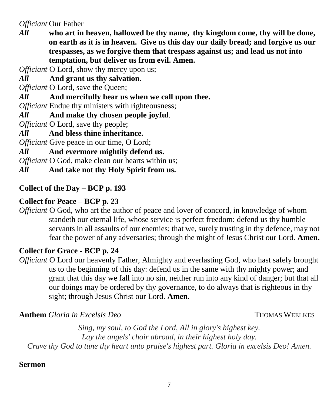#### *Officiant* Our Father

*All* **who art in heaven, hallowed be thy name, thy kingdom come, thy will be done, on earth as it is in heaven. Give us this day our daily bread; and forgive us our trespasses, as we forgive them that trespass against us; and lead us not into temptation, but deliver us from evil. Amen.**

*Officiant* O Lord, show thy mercy upon us;

*All* **And grant us thy salvation.**

*Officiant* O Lord, save the Queen;

*All* **And mercifully hear us when we call upon thee.**

*Officiant* Endue thy ministers with righteousness;

*All* **And make thy chosen people joyful**.

*Officiant* O Lord, save thy people;

*All* **And bless thine inheritance.**

*Officiant* Give peace in our time, O Lord;

*All* **And evermore mightily defend us.**

*Officiant* O God, make clean our hearts within us;

*All* **And take not thy Holy Spirit from us.**

#### **Collect of the Day – BCP p. 193**

#### **Collect for Peace – BCP p. 23**

*Officiant* O God, who art the author of peace and lover of concord, in knowledge of whom standeth our eternal life, whose service is perfect freedom: defend us thy humble servants in all assaults of our enemies; that we, surely trusting in thy defence, may not fear the power of any adversaries; through the might of Jesus Christ our Lord. **Amen.**

#### **Collect for Grace - BCP p. 24**

*Officiant* O Lord our heavenly Father, Almighty and everlasting God, who hast safely brought us to the beginning of this day: defend us in the same with thy mighty power; and grant that this day we fall into no sin, neither run into any kind of danger; but that all our doings may be ordered by thy governance, to do always that is righteous in thy sight; through Jesus Christ our Lord. **Amen**.

**Anthem** *Gloria in Excelsis Deo*  $T_{\text{HOMAS}}$  **Thomas WEELKES** 

*Sing, my soul, to God the Lord, All in glory's highest key. Lay the angels' choir abroad, in their highest holy day. Crave thy God to tune thy heart unto praise's highest part. Gloria in excelsis Deo! Amen.*

#### **Sermon**